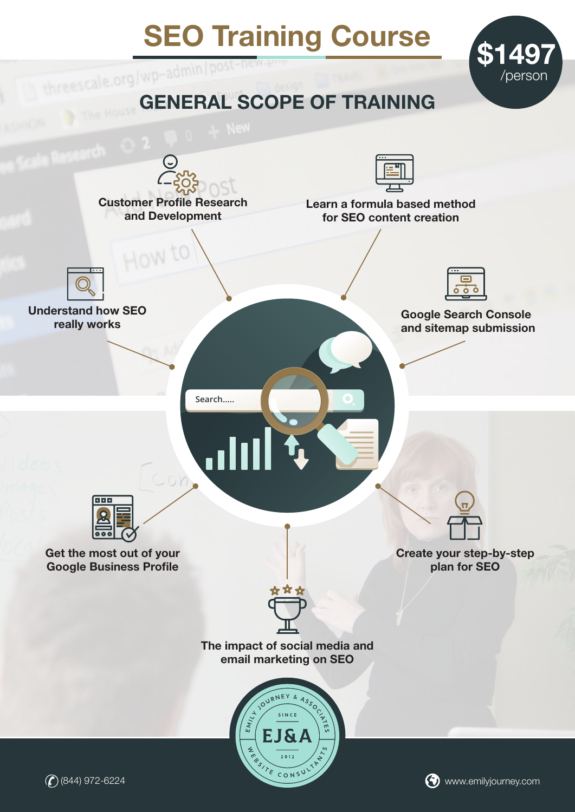